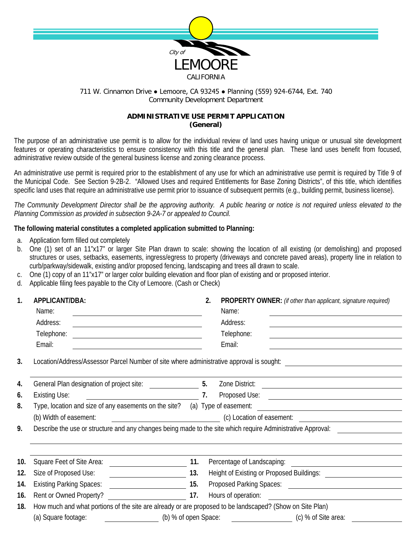

## 711 W. Cinnamon Drive ● Lemoore, CA 93245 ● Planning (559) 924-6744, Ext. 740 Community Development Department

## **ADMINISTRATIVE USE PERMIT APPLICATION (General)**

The purpose of an administrative use permit is to allow for the individual review of land uses having unique or unusual site development features or operating characteristics to ensure consistency with this title and the general plan. These land uses benefit from focused, administrative review outside of the general business license and zoning clearance process.

An administrative use permit is required prior to the establishment of any use for which an administrative use permit is required by Title 9 of the Municipal Code. See Section 9-2B-2. "Allowed Uses and required Entitlements for Base Zoning Districts", of this title, which identifies specific land uses that require an administrative use permit prior to issuance of subsequent permits (e.g., building permit, business license).

*The Community Development Director shall be the approving authority. A public hearing or notice is not required unless elevated to the Planning Commission as provided in subsection 9-2A-7 or appealed to Council.*

## **The following material constitutes a completed application submitted to Planning:**

- a. Application form filled out completely
- b. One (1) set of an 11"x17" or larger Site Plan drawn to scale: showing the location of all existing (or demolishing) and proposed structures or uses, setbacks, easements, ingress/egress to property (driveways and concrete paved areas), property line in relation to curb/parkway/sidewalk, existing and/or proposed fencing, landscaping and trees all drawn to scale.
- c. One (1) copy of an 11"x17" or larger color building elevation and floor plan of existing and or proposed interior.
- d. Applicable filing fees payable to the City of Lemoore. (Cash or Check)

| 1.  | APPLICANT/DBA:                                                                                                                 |     | PROPERTY OWNER: (if other than applicant, signature required)                                                                            |  |  |  |  |
|-----|--------------------------------------------------------------------------------------------------------------------------------|-----|------------------------------------------------------------------------------------------------------------------------------------------|--|--|--|--|
|     | Name:<br><u> 1989 - Johann Barbara, martin amerikan basar dan berasal dan berasal dalam basar dalam basar dalam basar dala</u> |     | Name:                                                                                                                                    |  |  |  |  |
|     | Address:                                                                                                                       |     | Address:                                                                                                                                 |  |  |  |  |
|     | Telephone:<br><u> 1980 - Johann Barbara, martxa amerikan personal (h. 1980).</u>                                               |     | Telephone:                                                                                                                               |  |  |  |  |
|     | Email:<br><u> 1989 - Johann Barbara, martin amerikan basal da</u>                                                              |     | Email:                                                                                                                                   |  |  |  |  |
| 3.  |                                                                                                                                |     | Location/Address/Assessor Parcel Number of site where administrative approval is sought: _____________________                           |  |  |  |  |
| 4.  |                                                                                                                                |     | Zone District:<br><u> 1989 - Johann Stoff, deutscher Stoffen und der Stoffen und der Stoffen und der Stoffen und der Stoffen und der</u> |  |  |  |  |
| 6.  | $\overline{\phantom{a}}$ 7.<br><b>Existing Use:</b>                                                                            |     |                                                                                                                                          |  |  |  |  |
| 8.  | Type, location and size of any easements on the site? (a) Type of easement:                                                    |     |                                                                                                                                          |  |  |  |  |
|     | (b) Width of easement:                                                                                                         |     | (c) Location of easement:                                                                                                                |  |  |  |  |
| 9.  | Describe the use or structure and any changes being made to the site which require Administrative Approval:                    |     |                                                                                                                                          |  |  |  |  |
|     |                                                                                                                                |     |                                                                                                                                          |  |  |  |  |
|     |                                                                                                                                |     |                                                                                                                                          |  |  |  |  |
| 10. | Square Feet of Site Area:                                                                                                      | 11. | Percentage of Landscaping:                                                                                                               |  |  |  |  |
| 12. | Size of Proposed Use:                                                                                                          | 13. |                                                                                                                                          |  |  |  |  |
| 14. | <b>Existing Parking Spaces:</b>                                                                                                | 15. |                                                                                                                                          |  |  |  |  |
| 16. | Rent or Owned Property?<br>$\sim$ 17.                                                                                          |     |                                                                                                                                          |  |  |  |  |
|     | How much and what portions of the site are already or are proposed to be landscaped? (Show on Site Plan)                       |     |                                                                                                                                          |  |  |  |  |
| 18. |                                                                                                                                |     |                                                                                                                                          |  |  |  |  |